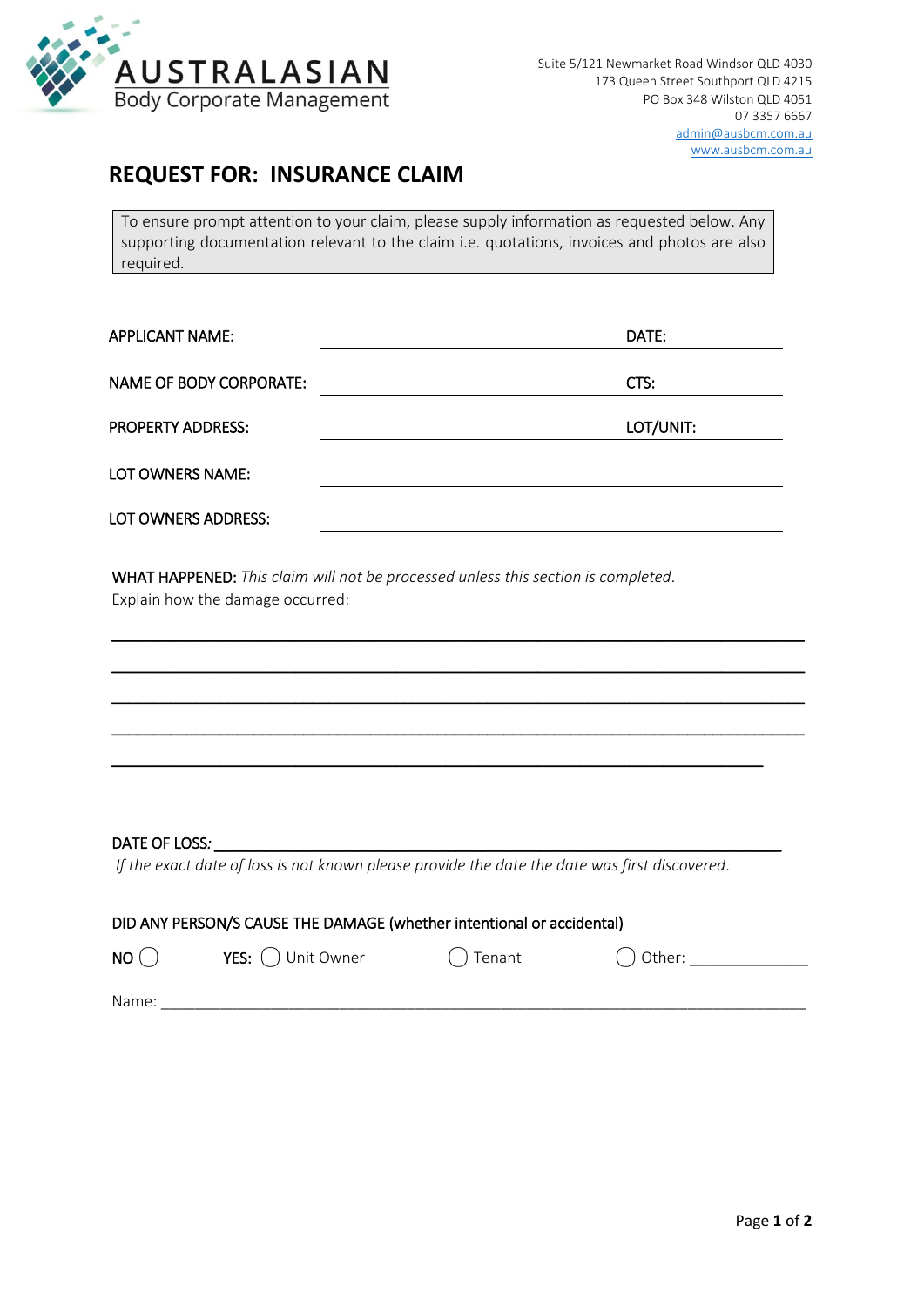

## **REQUEST FOR: INSURANCE CLAIM**

To ensure prompt attention to your claim, please supply information as requested below. Any supporting documentation relevant to the claim i.e. quotations, invoices and photos are also required.

| <b>APPLICANT NAME:</b>         | DATE:     |
|--------------------------------|-----------|
| <b>NAME OF BODY CORPORATE:</b> | CTS:      |
| <b>PROPERTY ADDRESS:</b>       | LOT/UNIT: |
| LOT OWNERS NAME:               |           |
| LOT OWNERS ADDRESS:            |           |

\_\_\_\_\_\_\_\_\_\_\_\_\_\_\_\_\_\_\_\_\_\_\_\_\_\_\_\_\_\_\_\_\_\_\_\_\_\_\_\_\_\_\_\_\_\_\_\_\_\_\_\_\_\_\_\_\_\_\_\_\_\_\_\_\_\_\_\_\_\_\_\_\_\_\_\_\_\_\_\_\_\_\_

\_\_\_\_\_\_\_\_\_\_\_\_\_\_\_\_\_\_\_\_\_\_\_\_\_\_\_\_\_\_\_\_\_\_\_\_\_\_\_\_\_\_\_\_\_\_\_\_\_\_\_\_\_\_\_\_\_\_\_\_\_\_\_\_\_\_\_\_\_\_\_\_\_\_\_\_\_\_\_\_\_\_\_

\_\_\_\_\_\_\_\_\_\_\_\_\_\_\_\_\_\_\_\_\_\_\_\_\_\_\_\_\_\_\_\_\_\_\_\_\_\_\_\_\_\_\_\_\_\_\_\_\_\_\_\_\_\_\_\_\_\_\_\_\_\_\_\_\_\_\_\_\_\_\_\_\_\_\_\_\_\_\_\_\_\_\_

\_\_\_\_\_\_\_\_\_\_\_\_\_\_\_\_\_\_\_\_\_\_\_\_\_\_\_\_\_\_\_\_\_\_\_\_\_\_\_\_\_\_\_\_\_\_\_\_\_\_\_\_\_\_\_\_\_\_\_\_\_\_\_\_\_\_\_\_\_\_\_\_\_\_\_\_\_\_\_\_\_\_\_

\_\_\_\_\_\_\_\_\_\_\_\_\_\_\_\_\_\_\_\_\_\_\_\_\_\_\_\_\_\_\_\_\_\_\_\_\_\_\_\_\_\_\_\_\_\_\_\_\_\_\_\_\_\_\_\_\_\_\_\_\_\_\_\_\_\_\_\_\_\_\_\_\_\_\_\_\_\_

WHAT HAPPENED: *This claim will not be processed unless this section is completed.* Explain how the damage occurred:

### DATE OF LOSS*:*

*If the exact date of loss is not known please provide the date the date was first discovered.*

| DID ANY PERSON/S CAUSE THE DAMAGE (whether intentional or accidental) |                     |           |              |  |  |  |
|-----------------------------------------------------------------------|---------------------|-----------|--------------|--|--|--|
| NO()                                                                  | YES: ( ) Unit Owner | () Tenant | $( )$ Other: |  |  |  |
| Name:                                                                 |                     |           |              |  |  |  |